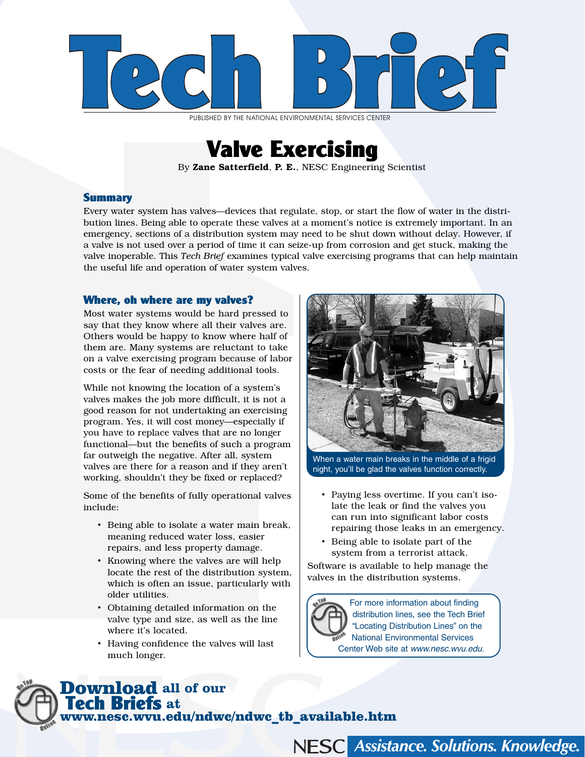

PUBLISHED BY THE NATIONAL ENVIRONMENTAL SERVICES CENTER

# Valve Exercising

By Zane Satterfield, P. E., NESC Engineering Scientist

## **Summary**

Every water system has valves—devices that regulate, stop, or start the flow of water in the distribution lines. Being able to operate these valves at a moment's notice is extremely important. In an emergency, sections of a distribution system may need to be shut down without delay. However, if a valve is not used over a period of time it can seize-up from corrosion and get stuck, making the valve inoperable. This *Tech Brief* examines typical valve exercising programs that can help maintain the useful life and operation of water system valves.

#### Where, oh where are my valves?

Most water systems would be hard pressed to say that they know where all their valves are. Others would be happy to know where half of them are. Many systems are reluctant to take on a valve exercising program because of labor costs or the fear of needing additional tools.

While not knowing the location of a system's valves makes the job more difficult, it is not a good reason for not undertaking an exercising program. Yes, it will cost money—especially if you have to replace valves that are no longer functional—but the benefits of such a program far outweigh the negative. After all, system valves are there for a reason and if they aren't working, shouldn't they be fixed or replaced?

Some of the benefits of fully operational valves include:

- Being able to isolate a water main break, meaning reduced water loss, easier repairs, and less property damage.
- Knowing where the valves are will help locate the rest of the distribution system, which is often an issue, particularly with older utilities.
- Obtaining detailed information on the valve type and size, as well as the line where it's located.
- Having confidence the valves will last much longer.

www.nesc.wvu.edu/ndwc/ndwc\_tb\_available.htm

Download **all of our** 

Tech Briefs **at** 



When a water main breaks in the middle of a frigid night, you'll be glad the valves function correctly.

- Paying less overtime. If you can't isolate the leak or find the valves you can run into significant labor costs repairing those leaks in an emergency.
- Being able to isolate part of the system from a terrorist attack.

Software is available to help manage the valves in the distribution systems.



For more information about finding distribution lines, see the Tech Brief "Locating Distribution Lines" on the National Environmental Services Center Web site at www.nesc.wvu.edu.

NESC Assistance. Solutions. Knowledge.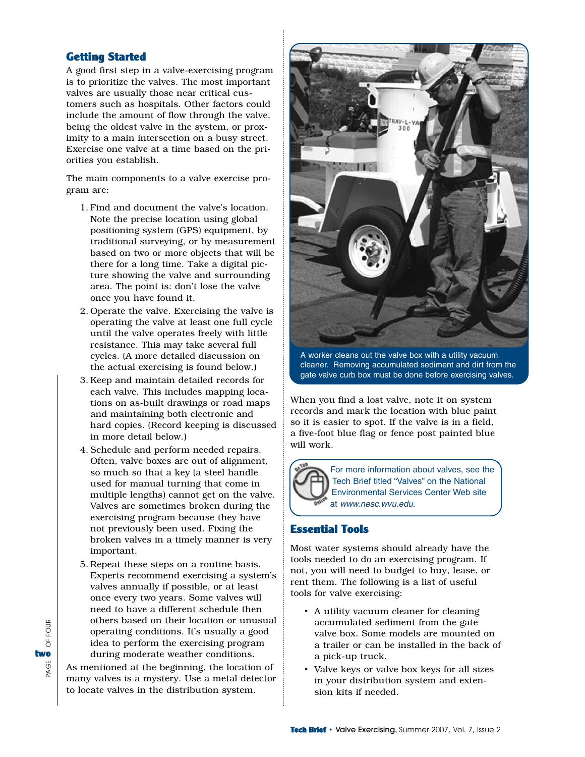## Getting Started

A good first step in a valve-exercising program is to prioritize the valves. The most important valves are usually those near critical customers such as hospitals. Other factors could include the amount of flow through the valve, being the oldest valve in the system, or proximity to a main intersection on a busy street. Exercise one valve at a time based on the priorities you establish.

The main components to a valve exercise program are:

- 1. Find and document the valve's location. Note the precise location using global positioning system (GPS) equipment, by traditional surveying, or by measurement based on two or more objects that will be there for a long time. Take a digital picture showing the valve and surrounding area. The point is: don't lose the valve once you have found it.
- 2. Operate the valve. Exercising the valve is operating the valve at least one full cycle until the valve operates freely with little resistance. This may take several full cycles. (A more detailed discussion on the actual exercising is found below.)
- 3. Keep and maintain detailed records for each valve. This includes mapping locations on as-built drawings or road maps and maintaining both electronic and hard copies. (Record keeping is discussed in more detail below.)
- 4. Schedule and perform needed repairs. Often, valve boxes are out of alignment, so much so that a key (a steel handle used for manual turning that come in multiple lengths) cannot get on the valve. Valves are sometimes broken during the exercising program because they have not previously been used. Fixing the broken valves in a timely manner is very important.
- 5. Repeat these steps on a routine basis. Experts recommend exercising a system's valves annually if possible, or at least once every two years. Some valves will need to have a different schedule then others based on their location or unusual operating conditions. It's usually a good idea to perform the exercising program during moderate weather conditions.

As mentioned at the beginning, the location of many valves is a mystery. Use a metal detector to locate valves in the distribution system.



A worker cleans out the valve box with a utility vacuum cleaner. Removing accumulated sediment and dirt from the gate valve curb box must be done before exercising valves.

When you find a lost valve, note it on system records and mark the location with blue paint so it is easier to spot. If the valve is in a field, a five-foot blue flag or fence post painted blue will work.



For more information about valves, see the Tech Brief titled "Valves" on the National Environmental Services Center Web site at www.nesc.wvu.edu.

## Essential Tools

Most water systems should already have the tools needed to do an exercising program. If not, you will need to budget to buy, lease, or rent them. The following is a list of useful tools for valve exercising:

- A utility vacuum cleaner for cleaning accumulated sediment from the gate valve box. Some models are mounted on a trailer or can be installed in the back of a pick-up truck.
- Valve keys or valve box keys for all sizes in your distribution system and extension kits if needed.

OF FOUR PAGE OF FOUR two<br>⊛<br>چ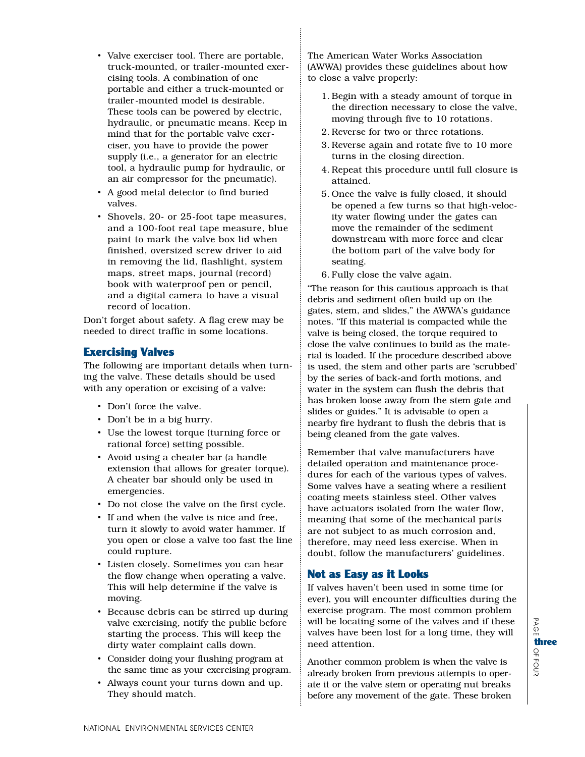- Valve exerciser tool. There are portable, truck-mounted, or trailer-mounted exercising tools. A combination of one portable and either a truck-mounted or trailer-mounted model is desirable. These tools can be powered by electric, hydraulic, or pneumatic means. Keep in mind that for the portable valve exerciser, you have to provide the power supply (i.e., a generator for an electric tool, a hydraulic pump for hydraulic, or an air compressor for the pneumatic).
- A good metal detector to find buried valves.
- Shovels, 20- or 25-foot tape measures, and a 100-foot real tape measure, blue paint to mark the valve box lid when finished, oversized screw driver to aid in removing the lid, flashlight, system maps, street maps, journal (record) book with waterproof pen or pencil, and a digital camera to have a visual record of location.

Don't forget about safety. A flag crew may be needed to direct traffic in some locations.

## Exercising Valves

The following are important details when turning the valve. These details should be used with any operation or excising of a valve:

- Don't force the valve.
- Don't be in a big hurry.
- Use the lowest torque (turning force or rational force) setting possible.
- Avoid using a cheater bar (a handle extension that allows for greater torque). A cheater bar should only be used in emergencies.
- Do not close the valve on the first cycle.
- If and when the valve is nice and free, turn it slowly to avoid water hammer. If you open or close a valve too fast the line could rupture.
- Listen closely. Sometimes you can hear the flow change when operating a valve. This will help determine if the valve is moving.
- Because debris can be stirred up during valve exercising, notify the public before starting the process. This will keep the dirty water complaint calls down.
- Consider doing your flushing program at the same time as your exercising program.
- Always count your turns down and up. They should match.

The American Water Works Association (AWWA) provides these guidelines about how to close a valve properly:

- 1. Begin with a steady amount of torque in the direction necessary to close the valve, moving through five to 10 rotations.
- 2. Reverse for two or three rotations.
- 3. Reverse again and rotate five to 10 more turns in the closing direction.
- 4. Repeat this procedure until full closure is attained.
- 5. Once the valve is fully closed, it should be opened a few turns so that high-velocity water flowing under the gates can move the remainder of the sediment downstream with more force and clear the bottom part of the valve body for seating.
- 6. Fully close the valve again.

"The reason for this cautious approach is that debris and sediment often build up on the gates, stem, and slides," the AWWA's guidance notes. "If this material is compacted while the valve is being closed, the torque required to close the valve continues to build as the material is loaded. If the procedure described above is used, the stem and other parts are 'scrubbed' by the series of back-and forth motions, and water in the system can flush the debris that has broken loose away from the stem gate and slides or guides." It is advisable to open a nearby fire hydrant to flush the debris that is being cleaned from the gate valves.

Remember that valve manufacturers have detailed operation and maintenance procedures for each of the various types of valves. Some valves have a seating where a resilient coating meets stainless steel. Other valves have actuators isolated from the water flow, meaning that some of the mechanical parts are not subject to as much corrosion and, therefore, may need less exercise. When in doubt, follow the manufacturers' guidelines.

## Not as Easy as it Looks

If valves haven't been used in some time (or ever), you will encounter difficulties during the exercise program. The most common problem will be locating some of the valves and if these valves have been lost for a long time, they will need attention.

Another common problem is when the valve is already broken from previous attempts to operate it or the valve stem or operating nut breaks before any movement of the gate. These broken